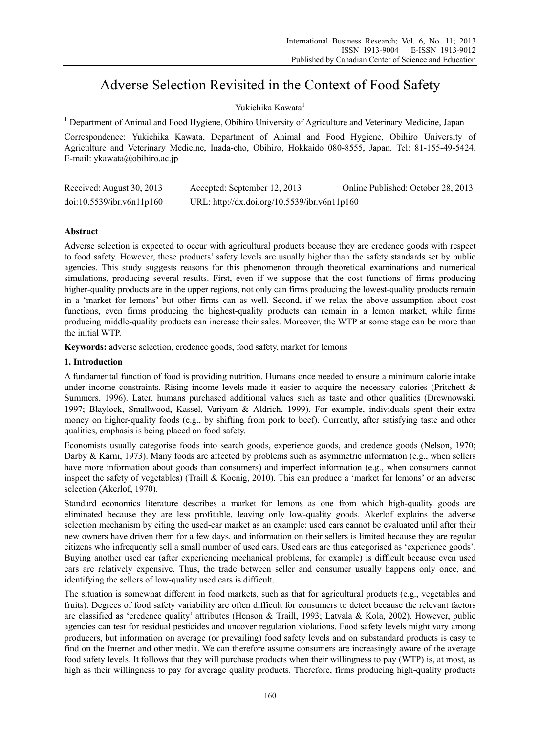# Adverse Selection Revisited in the Context of Food Safety

# Yukichika Kawata<sup>1</sup>

<sup>1</sup> Department of Animal and Food Hygiene, Obihiro University of Agriculture and Veterinary Medicine, Japan

Correspondence: Yukichika Kawata, Department of Animal and Food Hygiene, Obihiro University of Agriculture and Veterinary Medicine, Inada-cho, Obihiro, Hokkaido 080-8555, Japan. Tel: 81-155-49-5424. E-mail: ykawata@obihiro.ac.jp

| Received: August 30, 2013 | Accepted: September 12, 2013                 | Online Published: October 28, 2013 |
|---------------------------|----------------------------------------------|------------------------------------|
| doi:10.5539/ibr.v6n11p160 | URL: http://dx.doi.org/10.5539/ibr.v6n11p160 |                                    |

# **Abstract**

Adverse selection is expected to occur with agricultural products because they are credence goods with respect to food safety. However, these products' safety levels are usually higher than the safety standards set by public agencies. This study suggests reasons for this phenomenon through theoretical examinations and numerical simulations, producing several results. First, even if we suppose that the cost functions of firms producing higher-quality products are in the upper regions, not only can firms producing the lowest-quality products remain in a 'market for lemons' but other firms can as well. Second, if we relax the above assumption about cost functions, even firms producing the highest-quality products can remain in a lemon market, while firms producing middle-quality products can increase their sales. Moreover, the WTP at some stage can be more than the initial WTP.

**Keywords:** adverse selection, credence goods, food safety, market for lemons

# **1. Introduction**

A fundamental function of food is providing nutrition. Humans once needed to ensure a minimum calorie intake under income constraints. Rising income levels made it easier to acquire the necessary calories (Pritchett  $\&$ Summers, 1996). Later, humans purchased additional values such as taste and other qualities (Drewnowski, 1997; Blaylock, Smallwood, Kassel, Variyam & Aldrich, 1999). For example, individuals spent their extra money on higher-quality foods (e.g., by shifting from pork to beef). Currently, after satisfying taste and other qualities, emphasis is being placed on food safety.

Economists usually categorise foods into search goods, experience goods, and credence goods (Nelson, 1970; Darby & Karni, 1973). Many foods are affected by problems such as asymmetric information (e.g., when sellers have more information about goods than consumers) and imperfect information (e.g., when consumers cannot inspect the safety of vegetables) (Traill & Koenig, 2010). This can produce a 'market for lemons' or an adverse selection (Akerlof, 1970).

Standard economics literature describes a market for lemons as one from which high-quality goods are eliminated because they are less profitable, leaving only low-quality goods. Akerlof explains the adverse selection mechanism by citing the used-car market as an example: used cars cannot be evaluated until after their new owners have driven them for a few days, and information on their sellers is limited because they are regular citizens who infrequently sell a small number of used cars. Used cars are thus categorised as 'experience goods'. Buying another used car (after experiencing mechanical problems, for example) is difficult because even used cars are relatively expensive. Thus, the trade between seller and consumer usually happens only once, and identifying the sellers of low-quality used cars is difficult.

The situation is somewhat different in food markets, such as that for agricultural products (e.g., vegetables and fruits). Degrees of food safety variability are often difficult for consumers to detect because the relevant factors are classified as 'credence quality' attributes (Henson & Traill, 1993; Latvala & Kola, 2002). However, public agencies can test for residual pesticides and uncover regulation violations. Food safety levels might vary among producers, but information on average (or prevailing) food safety levels and on substandard products is easy to find on the Internet and other media. We can therefore assume consumers are increasingly aware of the average food safety levels. It follows that they will purchase products when their willingness to pay (WTP) is, at most, as high as their willingness to pay for average quality products. Therefore, firms producing high-quality products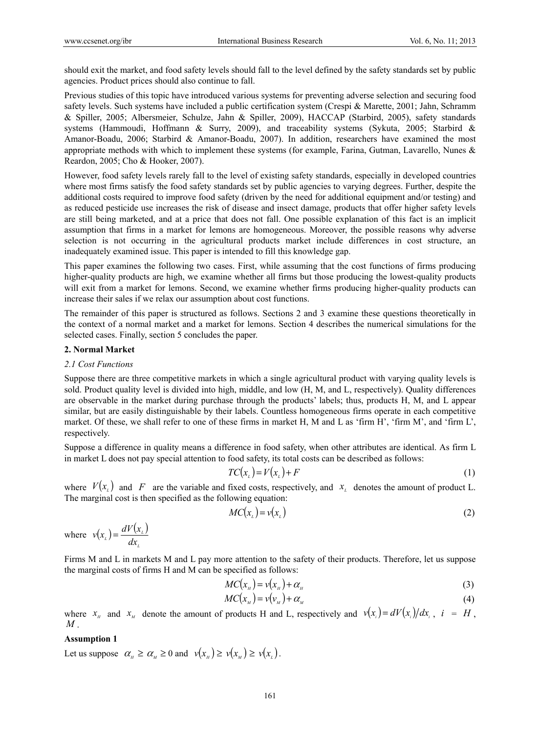should exit the market, and food safety levels should fall to the level defined by the safety standards set by public agencies. Product prices should also continue to fall.

Previous studies of this topic have introduced various systems for preventing adverse selection and securing food safety levels. Such systems have included a public certification system (Crespi & Marette, 2001; Jahn, Schramm & Spiller, 2005; Albersmeier, Schulze, Jahn & Spiller, 2009), HACCAP (Starbird, 2005), safety standards systems (Hammoudi, Hoffmann & Surry, 2009), and traceability systems (Sykuta, 2005; Starbird & Amanor-Boadu, 2006; Starbird & Amanor-Boadu, 2007). In addition, researchers have examined the most appropriate methods with which to implement these systems (for example, Farina, Gutman, Lavarello, Nunes  $\&$ Reardon, 2005; Cho & Hooker, 2007).

However, food safety levels rarely fall to the level of existing safety standards, especially in developed countries where most firms satisfy the food safety standards set by public agencies to varying degrees. Further, despite the additional costs required to improve food safety (driven by the need for additional equipment and/or testing) and as reduced pesticide use increases the risk of disease and insect damage, products that offer higher safety levels are still being marketed, and at a price that does not fall. One possible explanation of this fact is an implicit assumption that firms in a market for lemons are homogeneous. Moreover, the possible reasons why adverse selection is not occurring in the agricultural products market include differences in cost structure, an inadequately examined issue. This paper is intended to fill this knowledge gap.

This paper examines the following two cases. First, while assuming that the cost functions of firms producing higher-quality products are high, we examine whether all firms but those producing the lowest-quality products will exit from a market for lemons. Second, we examine whether firms producing higher-quality products can increase their sales if we relax our assumption about cost functions.

The remainder of this paper is structured as follows. Sections 2 and 3 examine these questions theoretically in the context of a normal market and a market for lemons. Section 4 describes the numerical simulations for the selected cases. Finally, section 5 concludes the paper.

#### **2. Normal Market**

#### *2.1 Cost Functions*

Suppose there are three competitive markets in which a single agricultural product with varying quality levels is sold. Product quality level is divided into high, middle, and low (H, M, and L, respectively). Quality differences are observable in the market during purchase through the products' labels; thus, products H, M, and L appear similar, but are easily distinguishable by their labels. Countless homogeneous firms operate in each competitive market. Of these, we shall refer to one of these firms in market H, M and L as 'firm H', 'firm M', and 'firm L', respectively.

Suppose a difference in quality means a difference in food safety, when other attributes are identical. As firm L in market L does not pay special attention to food safety, its total costs can be described as follows:

$$
TC(x_{\iota}) = V(x_{\iota}) + F \tag{1}
$$

where  $V(x_i)$  and F are the variable and fixed costs, respectively, and  $x_i$  denotes the amount of product L. The marginal cost is then specified as the following equation:

$$
MC(x_{\iota}) = \nu(x_{\iota})
$$
 (2)

where  $v(x) = \frac{dV(x)}{dx}$ *L*  $v(x) = \frac{dV(x)}{dt}$ 

Firms M and L in markets M and L pay more attention to the safety of their products. Therefore, let us suppose the marginal costs of firms H and M can be specified as follows:

$$
MC(xH) = v(xH) + \alphaH
$$
 (3)

$$
MC(x_M) = v(v_M) + \alpha_M \tag{4}
$$

where  $x_{\mu}$  and  $x_{\mu}$  denote the amount of products H and L, respectively and  $v(x_i) = dV(x_i)/dx_i$ ,  $i = H$ , *M* .

## **Assumption 1**

Let us suppose  $\alpha_{\mu} \ge \alpha_{\mu} \ge 0$  and  $v(x_{\mu}) \ge v(x_{\mu}) \ge v(x_{\mu}).$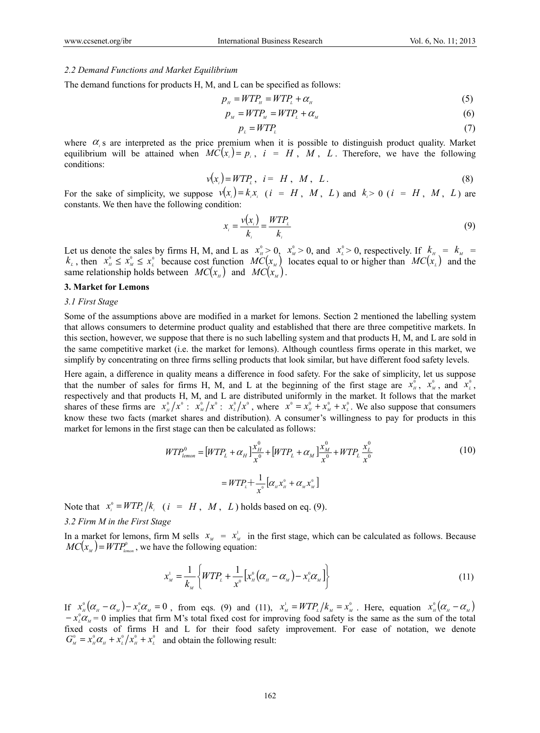#### *2.2 Demand Functions and Market Equilibrium*

The demand functions for products H, M, and L can be specified as follows:

$$
p_{\scriptscriptstyle H} = WTP_{\scriptscriptstyle H} = WTP_{\scriptscriptstyle L} + \alpha_{\scriptscriptstyle H} \tag{5}
$$

$$
p_{\scriptscriptstyle M} = WTP_{\scriptscriptstyle M} = WTP_{\scriptscriptstyle L} + \alpha_{\scriptscriptstyle M} \tag{6}
$$

$$
p_{\iota} = WTP_{\iota} \tag{7}
$$

where  $\alpha$ <sub>s</sub> are interpreted as the price premium when it is possible to distinguish product quality. Market equilibrium will be attained when  $MC(x_i) = p_i$ ,  $i = H$ ,  $M$ ,  $L$ . Therefore, we have the following conditions:

$$
v(x_i) = WTP_i, \quad i = H, \quad M, \quad L \tag{8}
$$

For the sake of simplicity, we suppose  $v(x_i) = k_i x_i$  (*i* = *H*, *M*, *L*) and  $k_i > 0$  (*i* = *H*, *M*, *L*) are constants. We then have the following condition:

$$
x_i = \frac{v(x_i)}{k_i} = \frac{WTP_i}{k_i} \tag{9}
$$

Let us denote the sales by firms H, M, and L as  $x_n^0 > 0$ ,  $x_M^0 > 0$ , and  $x_l^0 > 0$ , respectively. If  $k_{H} = k_M =$  $k_{\mu}$ , then  $x_{\mu}^{\circ} \le x_{\mu}^{\circ} \le x_{\mu}^{\circ}$  because cost function  $MC(x_{\mu})$  locates equal to or higher than  $MC(x_{\mu})$  and the same relationship holds between  $MC(x_a)$  and  $MC(x_a)$ .

#### **3. Market for Lemons**

## *3.1 First Stage*

Some of the assumptions above are modified in a market for lemons. Section 2 mentioned the labelling system that allows consumers to determine product quality and established that there are three competitive markets. In this section, however, we suppose that there is no such labelling system and that products H, M, and L are sold in the same competitive market (i.e. the market for lemons). Although countless firms operate in this market, we simplify by concentrating on three firms selling products that look similar, but have different food safety levels.

Here again, a difference in quality means a difference in food safety. For the sake of simplicity, let us suppose that the number of sales for firms H, M, and L at the beginning of the first stage are  $x<sub>n</sub><sup>0</sup>$ ,  $x<sub>n</sub><sup>0</sup>$ , and  $x<sub>n</sub><sup>0</sup>$ , respectively and that products H, M, and L are distributed uniformly in the market. It follows that the market shares of these firms are  $x_n^0/x^0$ :  $x_\mu^0/x^0$ :  $x_\mu^0/x^0$ , where  $x^0 = x_\mu^0 + x_\mu^0 + x_\mu^0$ . We also suppose that consumers know these two facts (market shares and distribution). A consumer's willingness to pay for products in this market for lemons in the first stage can then be calculated as follows:

$$
WTP_{lemon}^{0} = [WTP_L + \alpha_H] \frac{x_H^0}{x^0} + [WTP_L + \alpha_M] \frac{x_M^0}{x^0} + WTP_L \frac{x_L^0}{x^0}
$$
  
=  $WTP_L + \frac{1}{x^0} [\alpha_H x_H^0 + \alpha_M x_M^0]$  (10)

Note that  $x_i^0 = WTP_i/k_i$  ( $i = H, M, L$ ) holds based on eq. (9).

# *3.2 Firm M in the First Stage*

In a market for lemons, firm M sells  $x_M = x_M^1$  in the first stage, which can be calculated as follows. Because  $MC(x_{\mu}) = WTP_{\mu_{\text{enom}}}^0$ , we have the following equation:

$$
x_{M}^{1} = \frac{1}{k_{M}} \left\{ WTP_{L} + \frac{1}{x^{0}} \left[ x_{M}^{0} (\alpha_{M} - \alpha_{M}) - x_{L}^{0} \alpha_{M} \right] \right\}
$$
(11)

If  $x_{\scriptscriptstyle H}^{\scriptscriptstyle 0}(\alpha_{\scriptscriptstyle H}-\alpha_{\scriptscriptstyle M})-x_{\scriptscriptstyle L}^{\scriptscriptstyle 0}\alpha_{\scriptscriptstyle M}=0$ , from eqs. (9) and (11),  $x_{\scriptscriptstyle M}^{\scriptscriptstyle 1}=WTP_{\scriptscriptstyle L}/k_{\scriptscriptstyle M}=x_{\scriptscriptstyle M}^{\scriptscriptstyle 0}$ . Here, equation  $x_{\scriptscriptstyle H}^{\scriptscriptstyle 0}(\alpha_{\scriptscriptstyle H}-\alpha_{\scriptscriptstyle M})$  $-x_{\iota}^0 \alpha_{\iota} = 0$  implies that firm M's total fixed cost for improving food safety is the same as the sum of the total fixed costs of firms H and L for their food safety improvement. For ease of notation, we denote  $G_{\scriptscriptstyle M}^0 = x_{\scriptscriptstyle H}^0 \alpha_{\scriptscriptstyle H} + x_{\scriptscriptstyle L}^0 / x_{\scriptscriptstyle H}^0 + x_{\scriptscriptstyle L}^0$  and obtain the following result: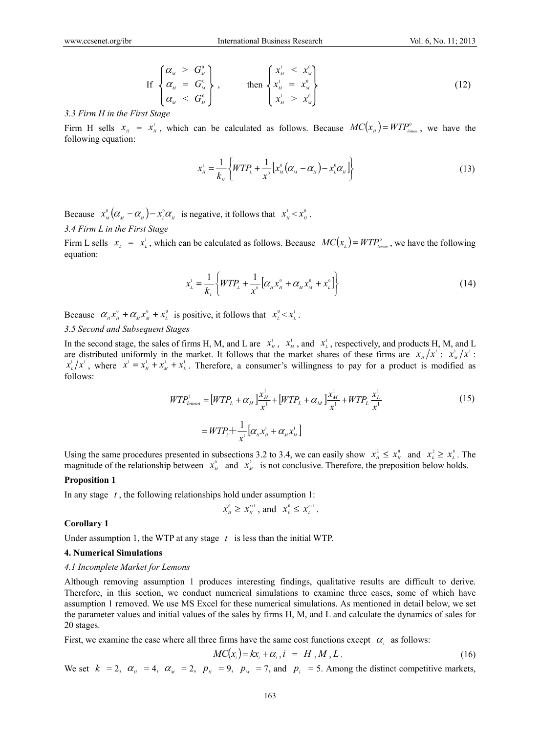$$
\text{If } \begin{cases} \alpha_{_M} > G_M^0 \\ \alpha_{_M} &= G_M^0 \\ \alpha_{_M} < G_M^0 \end{cases}, \qquad \text{then } \begin{cases} x_{_M}^1 < x_{_M}^0 \\ x_{_M}^1 &= x_{_M}^0 \\ x_{_M}^1 > x_{_M}^0 \end{cases} \tag{12}
$$

#### *3.3 Firm H in the First Stage*

Firm H sells  $x_{\mu} = x_{\mu}^1$ , which can be calculated as follows. Because  $MC(x_{\mu}) = WTP_{\mu_{\text{mean}}}^0$ , we have the following equation:

$$
x_{H}^{1} = \frac{1}{k_{H}} \left\{ WTP_{L} + \frac{1}{x^{0}} \left[ x_{M}^{0} (\alpha_{M} - \alpha_{H}) - x_{L}^{0} \alpha_{H} \right] \right\}
$$
(13)

Because  $x_{\scriptscriptstyle M}^{\scriptscriptstyle 0}(\alpha_{\scriptscriptstyle M}-\alpha_{\scriptscriptstyle H})-x_{\scriptscriptstyle L}^{\scriptscriptstyle 0}\alpha_{\scriptscriptstyle H}$  is negative, it follows that  $x_{\scriptscriptstyle H}^{\scriptscriptstyle 1}< x_{\scriptscriptstyle H}^{\scriptscriptstyle 0}$ . *3.4 Firm L in the First Stage* 

Firm L sells  $x_i = x_i^1$ , which can be calculated as follows. Because  $MC(x_i) = WTP_{\text{lemon}}^0$ , we have the following equation:

$$
x_{\iota}^{\iota} = \frac{1}{k_{\iota}} \left\{ WTP_{\iota} + \frac{1}{x^{\circ}} \left[ \alpha_{\mu} x_{\mu}^{\circ} + \alpha_{\mu} x_{\mu}^{\circ} + x_{\iota}^{\circ} \right] \right\}
$$
 (14)

Because  $\alpha_{\mu} x_{\mu}^{\circ} + \alpha_{\mu} x_{\mu}^{\circ} + x_{\mu}^{\circ}$  is positive, it follows that  $x_{\mu}^{\circ} < x_{\mu}^{\circ}$ .

## *3.5 Second and Subsequent Stages*

In the second stage, the sales of firms H, M, and L are  $x<sub>u</sub><sup>1</sup>$ ,  $x<sub>u</sub><sup>1</sup>$ , and  $x<sub>u</sub><sup>1</sup>$ , respectively, and products H, M, and L are distributed uniformly in the market. It follows that the market shares of these firms are  $x_n^1/x^1$ :  $x_n^1/x^1$ :  $x_L^1/x^1$ , where  $x^1 = x_H^1 + x_M^1 + x_L^1$ . Therefore, a consumer's willingness to pay for a product is modified as follows:

$$
WTP_{lemon}^{1} = [WTP_{L} + \alpha_{H}]\frac{x_{H}^{1}}{x^{1}} + [WTP_{L} + \alpha_{M}]\frac{x_{M}^{1}}{x^{1}} + WTP_{L}\frac{x_{L}^{1}}{x^{1}}
$$
  
=  $WTP_{L} + \frac{1}{x^{1}}[\alpha_{H}x_{H}^{1} + \alpha_{M}x_{M}^{1}]$  (15)

Using the same procedures presented in subsections 3.2 to 3.4, we can easily show  $x_n^2 \le x_n^0$  and  $x_n^2 \ge x_n^0$ . The magnitude of the relationship between  $x^0_M$  and  $x^2_M$  is not conclusive. Therefore, the preposition below holds.

#### **Proposition 1**

In any stage *t* , the following relationships hold under assumption 1:

$$
x_{\scriptscriptstyle H}^0 \ge x_{\scriptscriptstyle H}^{\scriptscriptstyle \prime +1}
$$
, and  $x_{\scriptscriptstyle L}^0 \le x_{\scriptscriptstyle L}^{\scriptscriptstyle \prime +1}$ .

#### **Corollary 1**

Under assumption 1, the WTP at any stage *t* is less than the initial WTP.

# **4. Numerical Simulations**

#### *4.1 Incomplete Market for Lemons*

Although removing assumption 1 produces interesting findings, qualitative results are difficult to derive. Therefore, in this section, we conduct numerical simulations to examine three cases, some of which have assumption 1 removed. We use MS Excel for these numerical simulations. As mentioned in detail below, we set the parameter values and initial values of the sales by firms H, M, and L and calculate the dynamics of sales for 20 stages.

First, we examine the case where all three firms have the same cost functions except  $\alpha_i$  as follows:

$$
MC(x_i) = kx_i + \alpha_i, i = H, M, L.
$$
 (16)

We set  $k = 2$ ,  $\alpha_{H} = 4$ ,  $\alpha_{M} = 2$ ,  $p_{H} = 9$ ,  $p_{M} = 7$ , and  $p_{L} = 5$ . Among the distinct competitive markets,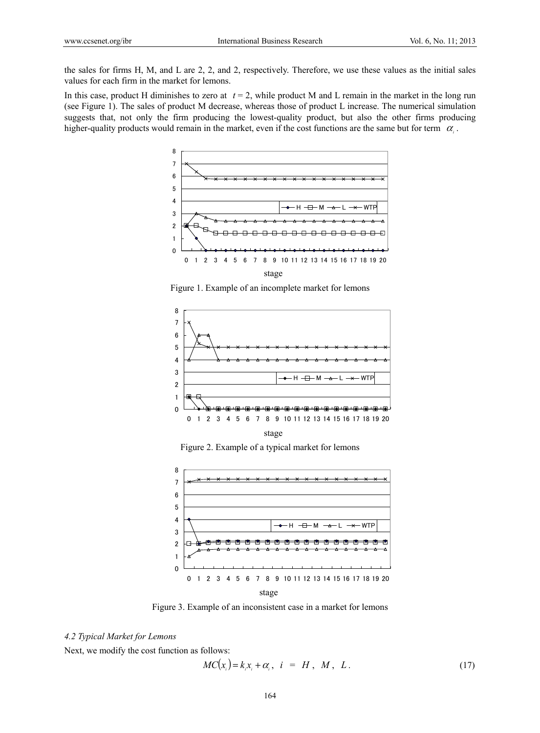the sales for firms H, M, and L are 2, 2, and 2, respectively. Therefore, we use these values as the initial sales values for each firm in the market for lemons.

In this case, product H diminishes to zero at  $t = 2$ , while product M and L remain in the market in the long run (see Figure 1). The sales of product M decrease, whereas those of product L increase. The numerical simulation suggests that, not only the firm producing the lowest-quality product, but also the other firms producing higher-quality products would remain in the market, even if the cost functions are the same but for term  $\alpha$ .



Figure 1. Example of an incomplete market for lemons



Figure 2. Example of a typical market for lemons



Figure 3. Example of an inconsistent case in a market for lemons

# *4.2 Typical Market for Lemons*

Next, we modify the cost function as follows:

$$
MC(x_i) = k_i x_i + \alpha_i, \quad i = H, \quad M, \quad L \tag{17}
$$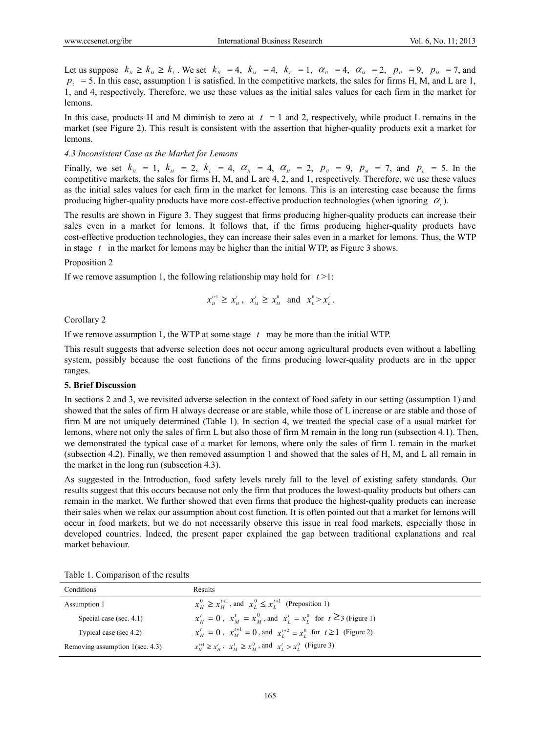Let us suppose  $k_{\mu} \ge k_{\mu} \ge k_{\mu}$ . We set  $k_{\mu} = 4$ ,  $k_{\mu} = 4$ ,  $k_{\mu} = 1$ ,  $\alpha_{\mu} = 4$ ,  $\alpha_{\mu} = 2$ ,  $p_{\mu} = 9$ ,  $p_{\mu} = 7$ , and  $p_{\perp}$  = 5. In this case, assumption 1 is satisfied. In the competitive markets, the sales for firms H, M, and L are 1, 1, and 4, respectively. Therefore, we use these values as the initial sales values for each firm in the market for lemons.

In this case, products H and M diminish to zero at  $t = 1$  and 2, respectively, while product L remains in the market (see Figure 2). This result is consistent with the assertion that higher-quality products exit a market for lemons.

#### *4.3 Inconsistent Case as the Market for Lemons*

Finally, we set  $k_{H} = 1$ ,  $k_{M} = 2$ ,  $k_{L} = 4$ ,  $\alpha_{H} = 4$ ,  $\alpha_{M} = 2$ ,  $p_{H} = 9$ ,  $p_{M} = 7$ , and  $p_{L} = 5$ . In the competitive markets, the sales for firms H, M, and L are 4, 2, and 1, respectively. Therefore, we use these values as the initial sales values for each firm in the market for lemons. This is an interesting case because the firms producing higher-quality products have more cost-effective production technologies (when ignoring  $\alpha$ ).

The results are shown in Figure 3. They suggest that firms producing higher-quality products can increase their sales even in a market for lemons. It follows that, if the firms producing higher-quality products have cost-effective production technologies, they can increase their sales even in a market for lemons. Thus, the WTP in stage *t* in the market for lemons may be higher than the initial WTP, as Figure 3 shows.

# Proposition 2

If we remove assumption 1, the following relationship may hold for *t* >1:

$$
x_{_H}^{^{t+1}} \geq x_{_H}^{^t}, \quad x_{_M}^{^t} \geq x_{_M}^{^0} \quad \text{and} \quad x_{_L}^{^0} > x_{_L}^{^t}.
$$

Corollary 2

If we remove assumption 1, the WTP at some stage *t* may be more than the initial WTP.

This result suggests that adverse selection does not occur among agricultural products even without a labelling system, possibly because the cost functions of the firms producing lower-quality products are in the upper ranges.

#### **5. Brief Discussion**

In sections 2 and 3, we revisited adverse selection in the context of food safety in our setting (assumption 1) and showed that the sales of firm H always decrease or are stable, while those of L increase or are stable and those of firm M are not uniquely determined (Table 1). In section 4, we treated the special case of a usual market for lemons, where not only the sales of firm L but also those of firm M remain in the long run (subsection 4.1). Then, we demonstrated the typical case of a market for lemons, where only the sales of firm L remain in the market (subsection 4.2). Finally, we then removed assumption 1 and showed that the sales of H, M, and L all remain in the market in the long run (subsection 4.3).

As suggested in the Introduction, food safety levels rarely fall to the level of existing safety standards. Our results suggest that this occurs because not only the firm that produces the lowest-quality products but others can remain in the market. We further showed that even firms that produce the highest-quality products can increase their sales when we relax our assumption about cost function. It is often pointed out that a market for lemons will occur in food markets, but we do not necessarily observe this issue in real food markets, especially those in developed countries. Indeed, the present paper explained the gap between traditional explanations and real market behaviour.

| Results                                                                                              |
|------------------------------------------------------------------------------------------------------|
| $x_{H}^{0} \geq x_{H}^{t+1}$ , and $x_{I}^{0} \leq x_{I}^{t+1}$ (Preposition 1)                      |
| $x_{H}^{t} = 0$ , $x_{M}^{t} = x_{M}^{0}$ , and $x_{I}^{t} = x_{I}^{0}$ for $t \ge 3$ (Figure 1)     |
| $x_{\mu}^{t} = 0$ , $x_{\mu}^{t+1} = 0$ , and $x_{\mu}^{t+2} = x_{\mu}^{0}$ for $t \ge 1$ (Figure 2) |
| $x_{\mu}^{t+1} \ge x_{\mu}^t$ , $x_{\mu}^t \ge x_{\mu}^0$ , and $x_{\mu}^t > x_{\mu}^0$ (Figure 3)   |
|                                                                                                      |

Table 1. Comparison of the results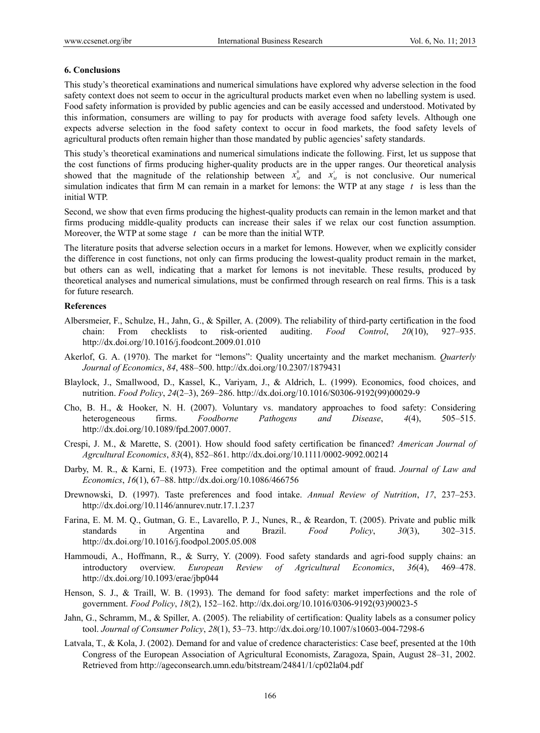## **6. Conclusions**

This study's theoretical examinations and numerical simulations have explored why adverse selection in the food safety context does not seem to occur in the agricultural products market even when no labelling system is used. Food safety information is provided by public agencies and can be easily accessed and understood. Motivated by this information, consumers are willing to pay for products with average food safety levels. Although one expects adverse selection in the food safety context to occur in food markets, the food safety levels of agricultural products often remain higher than those mandated by public agencies' safety standards.

This study's theoretical examinations and numerical simulations indicate the following. First, let us suppose that the cost functions of firms producing higher-quality products are in the upper ranges. Our theoretical analysis showed that the magnitude of the relationship between  $x^0_M$  and  $x'_M$  is not conclusive. Our numerical simulation indicates that firm M can remain in a market for lemons: the WTP at any stage *t* is less than the initial WTP.

Second, we show that even firms producing the highest-quality products can remain in the lemon market and that firms producing middle-quality products can increase their sales if we relax our cost function assumption. Moreover, the WTP at some stage *t* can be more than the initial WTP.

The literature posits that adverse selection occurs in a market for lemons. However, when we explicitly consider the difference in cost functions, not only can firms producing the lowest-quality product remain in the market, but others can as well, indicating that a market for lemons is not inevitable. These results, produced by theoretical analyses and numerical simulations, must be confirmed through research on real firms. This is a task for future research.

# **References**

- Albersmeier, F., Schulze, H., Jahn, G., & Spiller, A. (2009). The reliability of third-party certification in the food chain: From checklists to risk-oriented auditing. *Food Control*, *20*(10), 927–935. http://dx.doi.org/10.1016/j.foodcont.2009.01.010
- Akerlof, G. A. (1970). The market for "lemons": Quality uncertainty and the market mechanism. *Quarterly Journal of Economics*, *84*, 488–500. http://dx.doi.org/10.2307/1879431
- Blaylock, J., Smallwood, D., Kassel, K., Variyam, J., & Aldrich, L. (1999). Economics, food choices, and nutrition. *Food Policy*, *24*(2–3), 269–286. http://dx.doi.org/10.1016/S0306-9192(99)00029-9
- Cho, B. H., & Hooker, N. H. (2007). Voluntary vs. mandatory approaches to food safety: Considering heterogeneous firms. *Foodborne Pathogens and Disease*, *4*(4), 505–515. http://dx.doi.org/10.1089/fpd.2007.0007.
- Crespi, J. M., & Marette, S. (2001). How should food safety certification be financed? *American Journal of Agrcultural Economics*, *83*(4), 852–861. http://dx.doi.org/10.1111/0002-9092.00214
- Darby, M. R., & Karni, E. (1973). Free competition and the optimal amount of fraud. *Journal of Law and Economics*, *16*(1), 67–88. http://dx.doi.org/10.1086/466756
- Drewnowski, D. (1997). Taste preferences and food intake. *Annual Review of Nutrition*, *17*, 237–253. http://dx.doi.org/10.1146/annurev.nutr.17.1.237
- Farina, E. M. M. Q., Gutman, G. E., Lavarello, P. J., Nunes, R., & Reardon, T. (2005). Private and public milk standards in Argentina and Brazil. *Food Policy*, *30*(3), 302–315. http://dx.doi.org/10.1016/j.foodpol.2005.05.008
- Hammoudi, A., Hoffmann, R., & Surry, Y. (2009). Food safety standards and agri-food supply chains: an introductory overview. *European Review of Agricultural Economics*, *36*(4), 469–478. http://dx.doi.org/10.1093/erae/jbp044
- Henson, S. J., & Traill, W. B. (1993). The demand for food safety: market imperfections and the role of government. *Food Policy*, *18*(2), 152–162. http://dx.doi.org/10.1016/0306-9192(93)90023-5
- Jahn, G., Schramm, M., & Spiller, A. (2005). The reliability of certification: Quality labels as a consumer policy tool. *Journal of Consumer Policy*, *28*(1), 53–73. http://dx.doi.org/10.1007/s10603-004-7298-6
- Latvala, T., & Kola, J. (2002). Demand for and value of credence characteristics: Case beef, presented at the 10th Congress of the European Association of Agricultural Economists, Zaragoza, Spain, August 28–31, 2002. Retrieved from http://ageconsearch.umn.edu/bitstream/24841/1/cp02la04.pdf